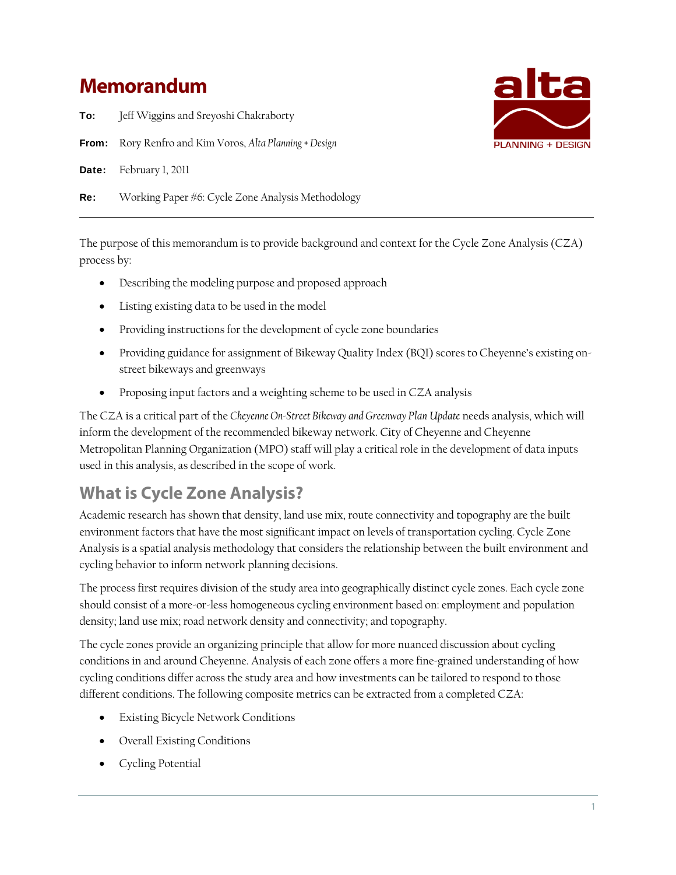# **Memorandum**

To: Jeff Wiggins and Sreyoshi Chakraborty

From: Rory Renfro and Kim Voros, *Alta Planning + Design*

Date: February 1, 2011

Re: Working Paper #6: Cycle Zone Analysis Methodology

The purpose of this memorandum is to provide background and context for the Cycle Zone Analysis (CZA) process by:

- Describing the modeling purpose and proposed approach
- Listing existing data to be used in the model
- Providing instructions for the development of cycle zone boundaries
- Providing guidance for assignment of Bikeway Quality Index (BQI) scores to Cheyenne's existing onstreet bikeways and greenways
- Proposing input factors and a weighting scheme to be used in CZA analysis

The CZA is a critical part of the *Cheyenne On-Street Bikeway and Greenway Plan Update* needs analysis, which will inform the development of the recommended bikeway network. City of Cheyenne and Cheyenne Metropolitan Planning Organization (MPO) staff will play a critical role in the development of data inputs used in this analysis, as described in the scope of work.

# **What is Cycle Zone Analysis?**

Academic research has shown that density, land use mix, route connectivity and topography are the built environment factors that have the most significant impact on levels of transportation cycling. Cycle Zone Analysis is a spatial analysis methodology that considers the relationship between the built environment and cycling behavior to inform network planning decisions.

The process first requires division of the study area into geographically distinct cycle zones. Each cycle zone should consist of a more-or-less homogeneous cycling environment based on: employment and population density; land use mix; road network density and connectivity; and topography.

The cycle zones provide an organizing principle that allow for more nuanced discussion about cycling conditions in and around Cheyenne. Analysis of each zone offers a more fine-grained understanding of how cycling conditions differ across the study area and how investments can be tailored to respond to those different conditions. The following composite metrics can be extracted from a completed CZA:

- Existing Bicycle Network Conditions
- Overall Existing Conditions
- Cycling Potential

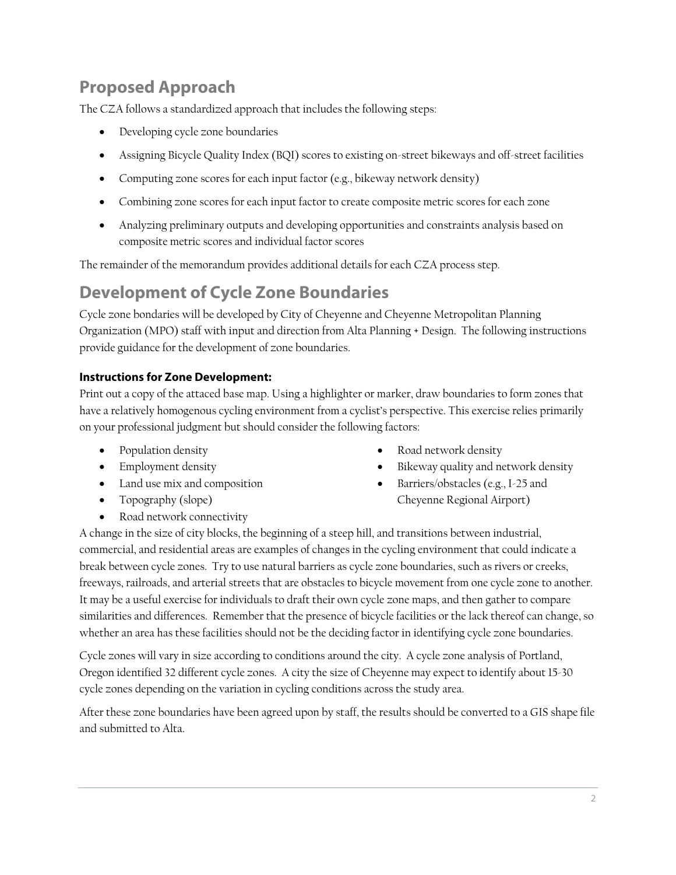# **Proposed Approach**

The CZA follows a standardized approach that includes the following steps:

- Developing cycle zone boundaries
- Assigning Bicycle Quality Index (BQI) scores to existing on-street bikeways and off-street facilities
- Computing zone scores for each input factor (e.g., bikeway network density)
- Combining zone scores for each input factor to create composite metric scores for each zone
- Analyzing preliminary outputs and developing opportunities and constraints analysis based on composite metric scores and individual factor scores

The remainder of the memorandum provides additional details for each CZA process step.

# **Development of Cycle Zone Boundaries**

Cycle zone bondaries will be developed by City of Cheyenne and Cheyenne Metropolitan Planning Organization (MPO) staff with input and direction from Alta Planning + Design. The following instructions provide guidance for the development of zone boundaries.

# **Instructions for Zone Development:**

Print out a copy of the attaced base map. Using a highlighter or marker, draw boundaries to form zones that have a relatively homogenous cycling environment from a cyclist's perspective. This exercise relies primarily on your professional judgment but should consider the following factors:

- Population density
- Employment density
- Land use mix and composition
- Topography (slope)
- Road network connectivity
- Road network density
- Bikeway quality and network density
- Barriers/obstacles (e.g., I-25 and Cheyenne Regional Airport)

A change in the size of city blocks, the beginning of a steep hill, and transitions between industrial, commercial, and residential areas are examples of changes in the cycling environment that could indicate a break between cycle zones. Try to use natural barriers as cycle zone boundaries, such as rivers or creeks, freeways, railroads, and arterial streets that are obstacles to bicycle movement from one cycle zone to another. It may be a useful exercise for individuals to draft their own cycle zone maps, and then gather to compare similarities and differences. Remember that the presence of bicycle facilities or the lack thereof can change, so whether an area has these facilities should not be the deciding factor in identifying cycle zone boundaries.

Cycle zones will vary in size according to conditions around the city. A cycle zone analysis of Portland, Oregon identified 32 different cycle zones. A city the size of Cheyenne may expect to identify about 15-30 cycle zones depending on the variation in cycling conditions across the study area.

After these zone boundaries have been agreed upon by staff, the results should be converted to a GIS shape file and submitted to Alta.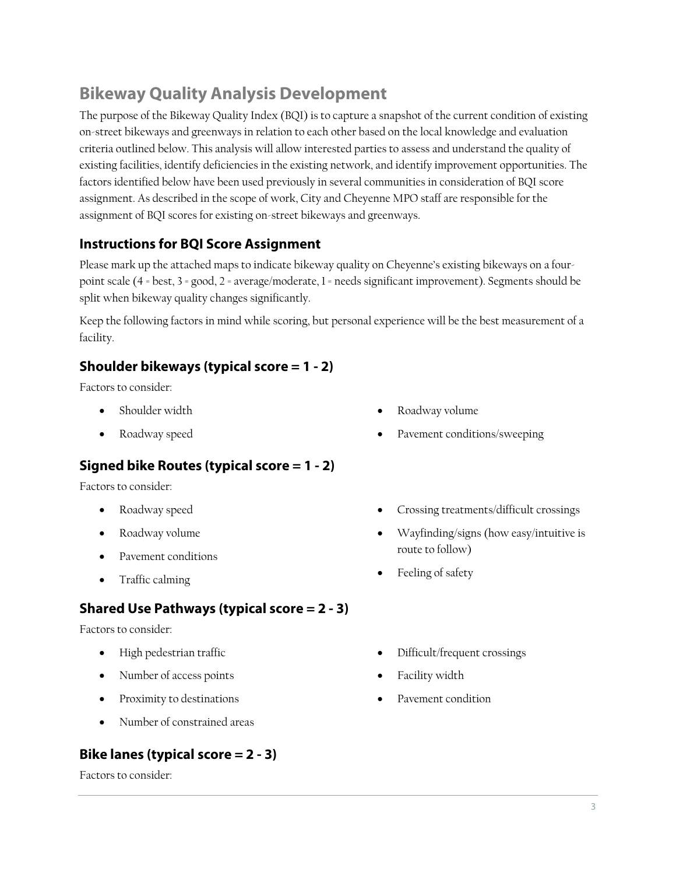# **Bikeway Quality Analysis Development**

The purpose of the Bikeway Quality Index (BQI) is to capture a snapshot of the current condition of existing on-street bikeways and greenways in relation to each other based on the local knowledge and evaluation criteria outlined below. This analysis will allow interested parties to assess and understand the quality of existing facilities, identify deficiencies in the existing network, and identify improvement opportunities. The factors identified below have been used previously in several communities in consideration of BQI score assignment. As described in the scope of work, City and Cheyenne MPO staff are responsible for the assignment of BQI scores for existing on-street bikeways and greenways.

# **Instructions for BQI Score Assignment**

Please mark up the attached maps to indicate bikeway quality on Cheyenne's existing bikeways on a fourpoint scale (4 = best, 3 = good, 2 = average/moderate, 1 = needs significant improvement). Segments should be split when bikeway quality changes significantly.

Keep the following factors in mind while scoring, but personal experience will be the best measurement of a facility.

# **Shoulder bikeways (typical score = 1 - 2)**

Factors to consider:

- Shoulder width
- Roadway speed

# **Signed bike Routes (typical score = 1 - 2)**

Factors to consider:

- Roadway speed
- Roadway volume
- Pavement conditions
- Traffic calming

# **Shared Use Pathways (typical score = 2 - 3)**

Factors to consider:

- High pedestrian traffic
- Number of access points
- Proximity to destinations
- Number of constrained areas

# **Bike lanes (typical score = 2 - 3)**

Factors to consider:

- Roadway volume
- Pavement conditions/sweeping
- Crossing treatments/difficult crossings
- Wayfinding/signs (how easy/intuitive is route to follow)
- Feeling of safety
- Difficult/frequent crossings
- Facility width
- Pavement condition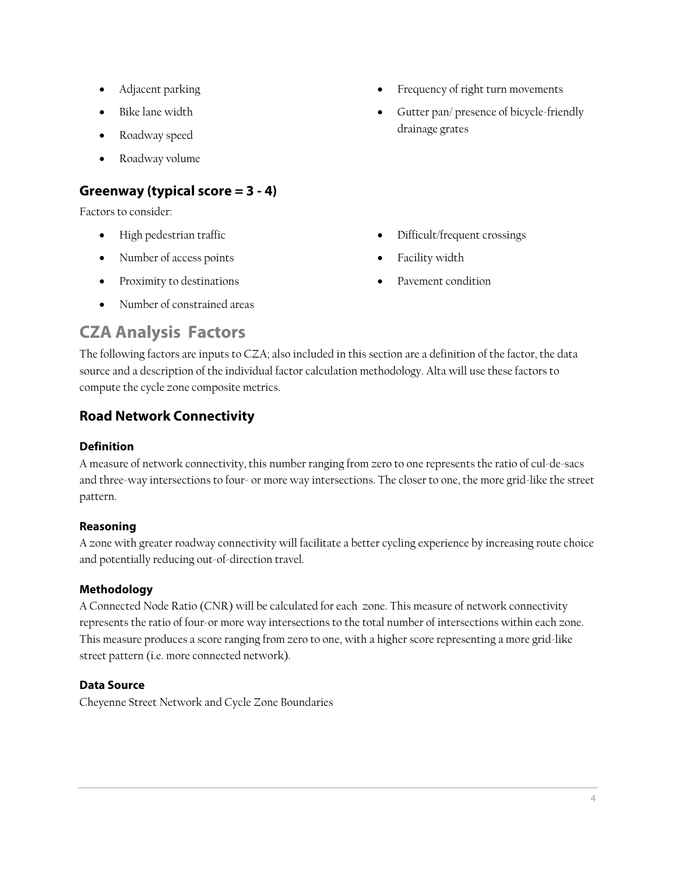- Adjacent parking
- Bike lane width
- Roadway speed
- Roadway volume

# **Greenway (typical score = 3 - 4)**

Factors to consider:

- High pedestrian traffic
- Number of access points
- Proximity to destinations
- Number of constrained areas
- Frequency of right turn movements
- Gutter pan/ presence of bicycle-friendly drainage grates

- Difficult/frequent crossings
- Facility width
- Pavement condition

# **CZA Analysis Factors**

The following factors are inputs to CZA; also included in this section are a definition of the factor, the data source and a description of the individual factor calculation methodology. Alta will use these factors to compute the cycle zone composite metrics.

# **Road Network Connectivity**

# **Definition**

A measure of network connectivity, this number ranging from zero to one represents the ratio of cul-de-sacs and three-way intersections to four- or more way intersections. The closer to one, the more grid-like the street pattern.

# **Reasoning**

A zone with greater roadway connectivity will facilitate a better cycling experience by increasing route choice and potentially reducing out-of-direction travel.

# **Methodology**

A Connected Node Ratio (CNR) will be calculated for each zone. This measure of network connectivity represents the ratio of four-or more way intersections to the total number of intersections within each zone. This measure produces a score ranging from zero to one, with a higher score representing a more grid-like street pattern (i.e. more connected network).

# **Data Source**

Cheyenne Street Network and Cycle Zone Boundaries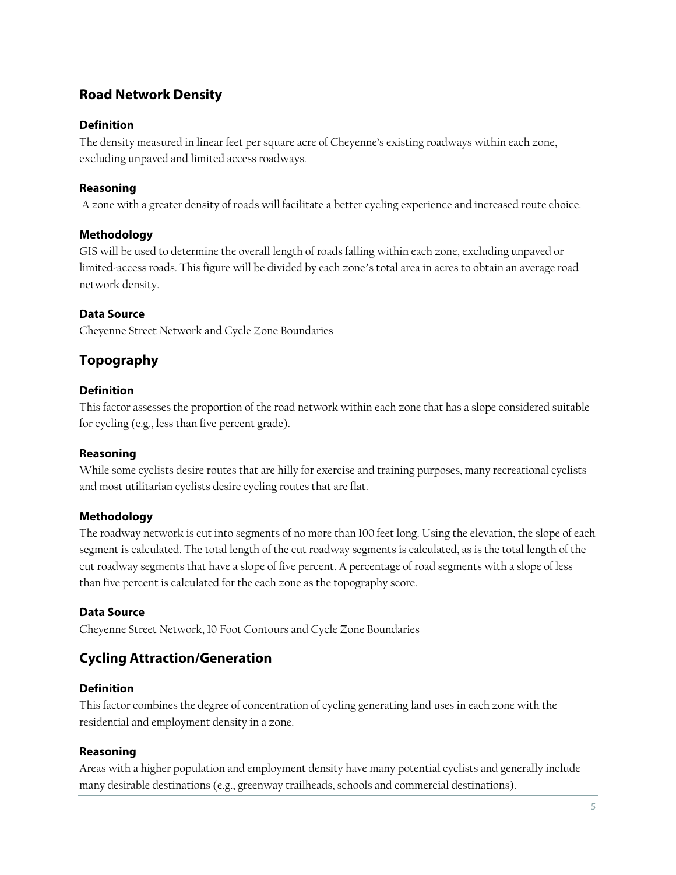# **Road Network Density**

## **Definition**

The density measured in linear feet per square acre of Cheyenne's existing roadways within each zone, excluding unpaved and limited access roadways.

### **Reasoning**

A zone with a greater density of roads will facilitate a better cycling experience and increased route choice.

## **Methodology**

GIS will be used to determine the overall length of roads falling within each zone, excluding unpaved or limited-access roads. This figure will be divided by each zone's total area in acres to obtain an average road network density.

### **Data Source**

Cheyenne Street Network and Cycle Zone Boundaries

# **Topography**

### **Definition**

This factor assesses the proportion of the road network within each zone that has a slope considered suitable for cycling (e.g., less than five percent grade).

### **Reasoning**

While some cyclists desire routes that are hilly for exercise and training purposes, many recreational cyclists and most utilitarian cyclists desire cycling routes that are flat.

### **Methodology**

The roadway network is cut into segments of no more than 100 feet long. Using the elevation, the slope of each segment is calculated. The total length of the cut roadway segments is calculated, as is the total length of the cut roadway segments that have a slope of five percent. A percentage of road segments with a slope of less than five percent is calculated for the each zone as the topography score.

### **Data Source**

Cheyenne Street Network, 10 Foot Contours and Cycle Zone Boundaries

# **Cycling Attraction/Generation**

### **Definition**

This factor combines the degree of concentration of cycling generating land uses in each zone with the residential and employment density in a zone.

#### **Reasoning**

Areas with a higher population and employment density have many potential cyclists and generally include many desirable destinations (e.g., greenway trailheads, schools and commercial destinations).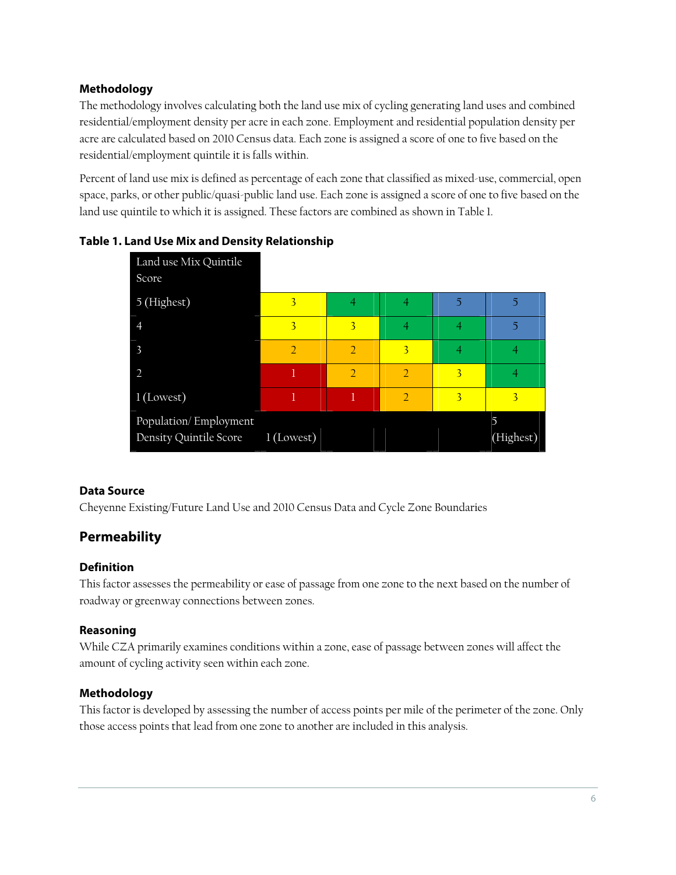# **Methodology**

The methodology involves calculating both the land use mix of cycling generating land uses and combined residential/employment density per acre in each zone. Employment and residential population density per acre are calculated based on 2010 Census data. Each zone is assigned a score of one to five based on the residential/employment quintile it is falls within.

Percent of land use mix is defined as percentage of each zone that classified as mixed-use, commercial, open space, parks, or other public/quasi-public land use. Each zone is assigned a score of one to five based on the land use quintile to which it is assigned. These factors are combined as shown in Table 1.





### **Data Source**

Cheyenne Existing/Future Land Use and 2010 Census Data and Cycle Zone Boundaries

# **Permeability**

#### **Definition**

This factor assesses the permeability or ease of passage from one zone to the next based on the number of roadway or greenway connections between zones.

### **Reasoning**

While CZA primarily examines conditions within a zone, ease of passage between zones will affect the amount of cycling activity seen within each zone.

### **Methodology**

This factor is developed by assessing the number of access points per mile of the perimeter of the zone. Only those access points that lead from one zone to another are included in this analysis.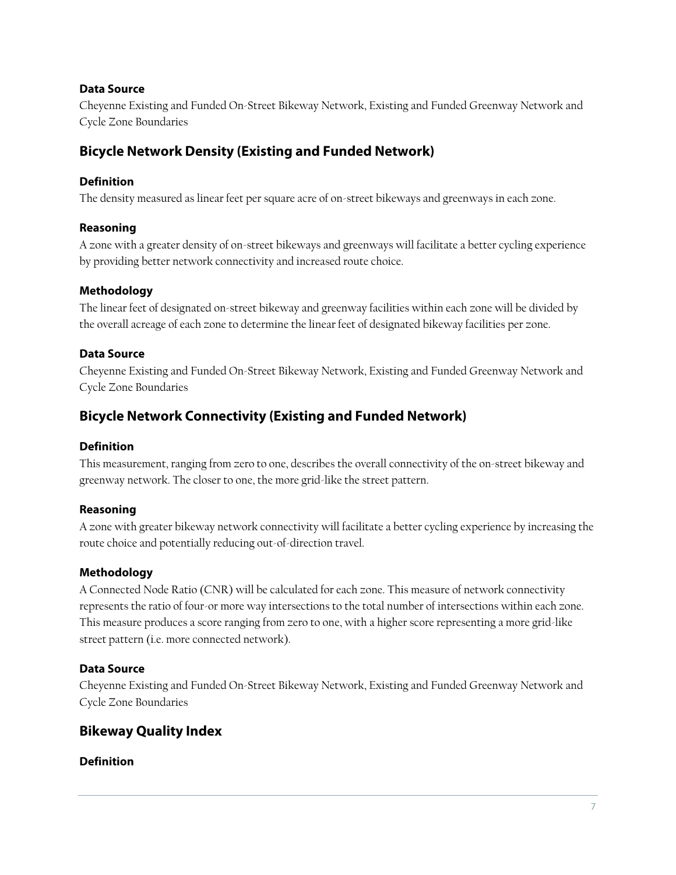## **Data Source**

Cheyenne Existing and Funded On-Street Bikeway Network, Existing and Funded Greenway Network and Cycle Zone Boundaries

# **Bicycle Network Density (Existing and Funded Network)**

## **Definition**

The density measured as linear feet per square acre of on-street bikeways and greenways in each zone.

## **Reasoning**

A zone with a greater density of on-street bikeways and greenways will facilitate a better cycling experience by providing better network connectivity and increased route choice.

## **Methodology**

The linear feet of designated on-street bikeway and greenway facilities within each zone will be divided by the overall acreage of each zone to determine the linear feet of designated bikeway facilities per zone.

### **Data Source**

Cheyenne Existing and Funded On-Street Bikeway Network, Existing and Funded Greenway Network and Cycle Zone Boundaries

# **Bicycle Network Connectivity (Existing and Funded Network)**

### **Definition**

This measurement, ranging from zero to one, describes the overall connectivity of the on-street bikeway and greenway network. The closer to one, the more grid-like the street pattern.

### **Reasoning**

A zone with greater bikeway network connectivity will facilitate a better cycling experience by increasing the route choice and potentially reducing out-of-direction travel.

### **Methodology**

A Connected Node Ratio (CNR) will be calculated for each zone. This measure of network connectivity represents the ratio of four-or more way intersections to the total number of intersections within each zone. This measure produces a score ranging from zero to one, with a higher score representing a more grid-like street pattern (i.e. more connected network).

# **Data Source**

Cheyenne Existing and Funded On-Street Bikeway Network, Existing and Funded Greenway Network and Cycle Zone Boundaries

# **Bikeway Quality Index**

### **Definition**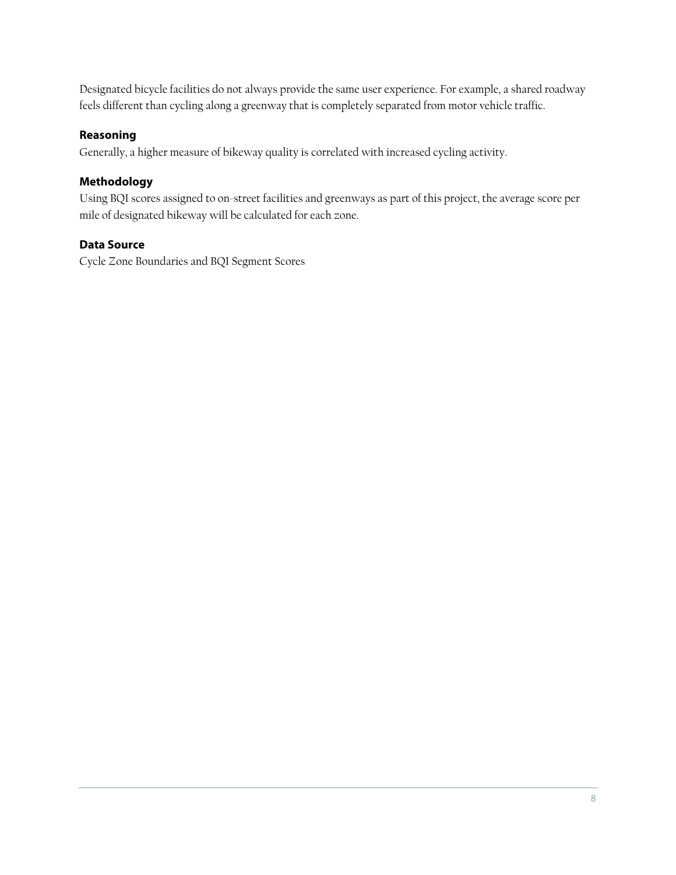Designated bicycle facilities do not always provide the same user experience. For example, a shared roadway feels different than cycling along a greenway that is completely separated from motor vehicle traffic.

## **Reasoning**

Generally, a higher measure of bikeway quality is correlated with increased cycling activity.

#### **Methodology**

Using BQI scores assigned to on-street facilities and greenways as part of this project, the average score per mile of designated bikeway will be calculated for each zone.

# **Data Source**

Cycle Zone Boundaries and BQI Segment Scores